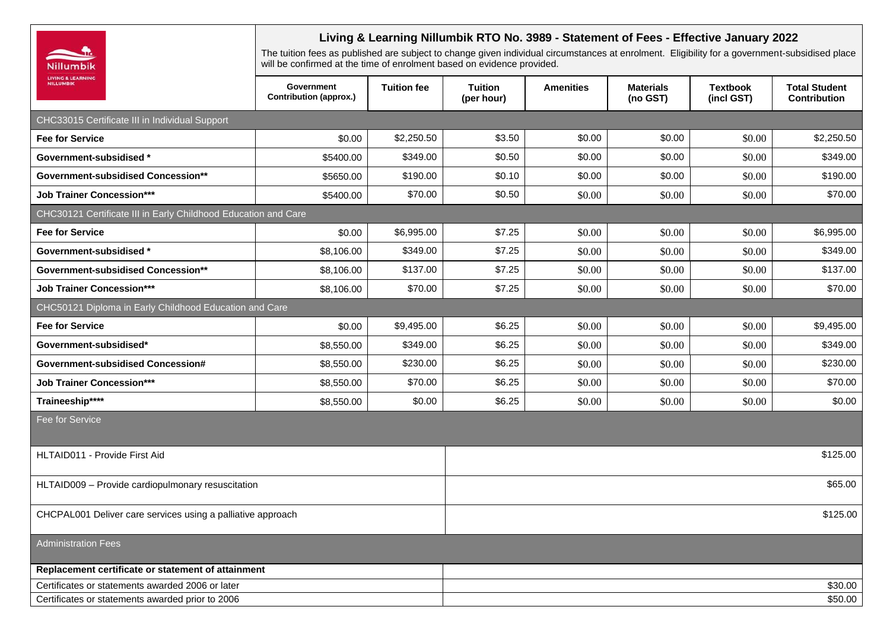|                                                                | Living & Learning Nillumbik RTO No. 3989 - Statement of Fees - Effective January 2022<br>The tuition fees as published are subject to change given individual circumstances at enrolment. Eligibility for a government-subsidised place<br>will be confirmed at the time of enrolment based on evidence provided. |                    |                              |                  |                              |                               |                                             |
|----------------------------------------------------------------|-------------------------------------------------------------------------------------------------------------------------------------------------------------------------------------------------------------------------------------------------------------------------------------------------------------------|--------------------|------------------------------|------------------|------------------------------|-------------------------------|---------------------------------------------|
| Nillumbik<br><b>LIVING &amp; LEARNING</b><br><b>NILLUMBIK</b>  |                                                                                                                                                                                                                                                                                                                   |                    |                              |                  |                              |                               |                                             |
|                                                                | Government<br><b>Contribution (approx.)</b>                                                                                                                                                                                                                                                                       | <b>Tuition fee</b> | <b>Tuition</b><br>(per hour) | <b>Amenities</b> | <b>Materials</b><br>(no GST) | <b>Textbook</b><br>(incl GST) | <b>Total Student</b><br><b>Contribution</b> |
| CHC33015 Certificate III in Individual Support                 |                                                                                                                                                                                                                                                                                                                   |                    |                              |                  |                              |                               |                                             |
| <b>Fee for Service</b>                                         | \$0.00                                                                                                                                                                                                                                                                                                            | \$2,250.50         | \$3.50                       | \$0.00           | \$0.00                       | \$0.00                        | \$2,250.50                                  |
| Government-subsidised *                                        | \$5400.00                                                                                                                                                                                                                                                                                                         | \$349.00           | \$0.50                       | \$0.00           | \$0.00                       | \$0.00                        | \$349.00                                    |
| <b>Government-subsidised Concession**</b>                      | \$5650.00                                                                                                                                                                                                                                                                                                         | \$190.00           | \$0.10                       | \$0.00           | \$0.00                       | \$0.00                        | \$190.00                                    |
| <b>Job Trainer Concession***</b>                               | \$5400.00                                                                                                                                                                                                                                                                                                         | \$70.00            | \$0.50                       | \$0.00           | \$0.00                       | \$0.00                        | \$70.00                                     |
| CHC30121 Certificate III in Early Childhood Education and Care |                                                                                                                                                                                                                                                                                                                   |                    |                              |                  |                              |                               |                                             |
| <b>Fee for Service</b>                                         | \$0.00                                                                                                                                                                                                                                                                                                            | \$6,995.00         | \$7.25                       | \$0.00           | \$0.00                       | \$0.00                        | \$6,995.00                                  |
| <b>Government-subsidised *</b>                                 | \$8,106.00                                                                                                                                                                                                                                                                                                        | \$349.00           | \$7.25                       | \$0.00           | \$0.00                       | \$0.00                        | \$349.00                                    |
| <b>Government-subsidised Concession**</b>                      | \$8,106.00                                                                                                                                                                                                                                                                                                        | \$137.00           | \$7.25                       | \$0.00           | \$0.00                       | \$0.00                        | \$137.00                                    |
| <b>Job Trainer Concession***</b>                               | \$8,106.00                                                                                                                                                                                                                                                                                                        | \$70.00            | \$7.25                       | \$0.00           | \$0.00                       | \$0.00                        | \$70.00                                     |
| CHC50121 Diploma in Early Childhood Education and Care         |                                                                                                                                                                                                                                                                                                                   |                    |                              |                  |                              |                               |                                             |
| <b>Fee for Service</b>                                         | \$0.00                                                                                                                                                                                                                                                                                                            | \$9,495.00         | \$6.25                       | \$0.00           | \$0.00                       | \$0.00                        | \$9,495.00                                  |
| Government-subsidised*                                         | \$8,550.00                                                                                                                                                                                                                                                                                                        | \$349.00           | \$6.25                       | \$0.00           | \$0.00                       | \$0.00                        | \$349.00                                    |
| Government-subsidised Concession#                              | \$8,550.00                                                                                                                                                                                                                                                                                                        | \$230.00           | \$6.25                       | \$0.00           | \$0.00                       | \$0.00                        | \$230.00                                    |
| <b>Job Trainer Concession***</b>                               | \$8,550.00                                                                                                                                                                                                                                                                                                        | \$70.00            | \$6.25                       | \$0.00           | \$0.00                       | \$0.00                        | \$70.00                                     |
| Traineeship****                                                | \$8,550.00                                                                                                                                                                                                                                                                                                        | \$0.00             | \$6.25                       | \$0.00           | \$0.00                       | \$0.00                        | \$0.00                                      |
| Fee for Service                                                |                                                                                                                                                                                                                                                                                                                   |                    |                              |                  |                              |                               |                                             |
| HLTAID011 - Provide First Aid                                  |                                                                                                                                                                                                                                                                                                                   |                    | \$125.00                     |                  |                              |                               |                                             |
| HLTAID009 - Provide cardiopulmonary resuscitation              |                                                                                                                                                                                                                                                                                                                   |                    | \$65.00                      |                  |                              |                               |                                             |
| CHCPAL001 Deliver care services using a palliative approach    |                                                                                                                                                                                                                                                                                                                   |                    | \$125.00                     |                  |                              |                               |                                             |
| <b>Administration Fees</b>                                     |                                                                                                                                                                                                                                                                                                                   |                    |                              |                  |                              |                               |                                             |
| Replacement certificate or statement of attainment             |                                                                                                                                                                                                                                                                                                                   |                    |                              |                  |                              |                               |                                             |
| Certificates or statements awarded 2006 or later               |                                                                                                                                                                                                                                                                                                                   |                    |                              |                  |                              |                               | \$30.00                                     |
| Certificates or statements awarded prior to 2006               |                                                                                                                                                                                                                                                                                                                   |                    |                              |                  |                              |                               | \$50.00                                     |